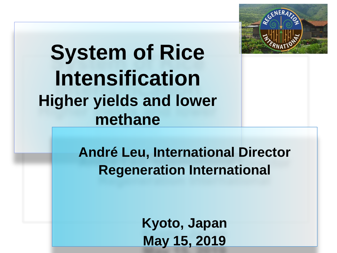

### **System of Rice Intensification Higher yields and lower methane**

**André Leu, International Director Regeneration International** 

> **Kyoto, Japan May 15, 2019**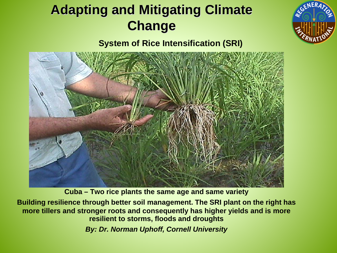### **Adapting and Mitigating Climate Change**



**System of Rice Intensification (SRI)**



**Cuba – Two rice plants the same age and same variety**

**Building resilience through better soil management. The SRI plant on the right has more tillers and stronger roots and consequently has higher yields and is more resilient to storms, floods and droughts**

*By: Dr. Norman Uphoff, Cornell University*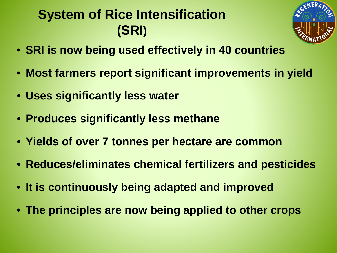### **System of Rice Intensification (SRI)**



- **SRI is now being used effectively in 40 countries**
- **Most farmers report significant improvements in yield**
- **Uses significantly less water**
- **Produces significantly less methane**
- **Yields of over 7 tonnes per hectare are common**
- **Reduces/eliminates chemical fertilizers and pesticides**
- **It is continuously being adapted and improved**
- **The principles are now being applied to other crops**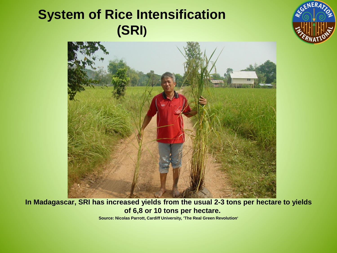### **System of Rice Intensification (SRI)**





#### **In Madagascar, SRI has increased yields from the usual 2-3 tons per hectare to yields of 6,8 or 10 tons per hectare.**

**Source: Nicolas Parrott, Cardiff University, 'The Real Green Revolution'**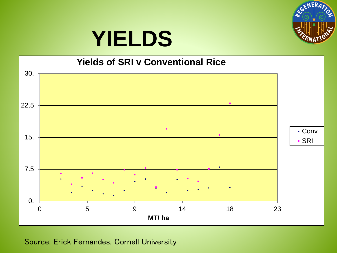

## **YIELDS**

#### **Yields of SRI v Conventional Rice**



Source: Erick Fernandes, Cornell University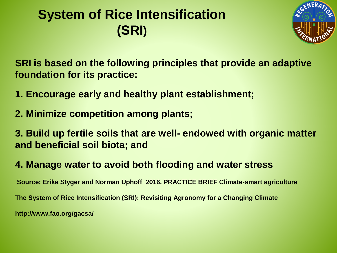### **System of Rice Intensification (SRI)**



**SRI is based on the following principles that provide an adaptive foundation for its practice:**

- **1. Encourage early and healthy plant establishment;**
- **2. Minimize competition among plants;**

**3. Build up fertile soils that are well- endowed with organic matter and beneficial soil biota; and**

**4. Manage water to avoid both flooding and water stress**

**Source: Erika Styger and Norman Uphoff 2016, PRACTICE BRIEF Climate-smart agriculture The System of Rice Intensification (SRI): Revisiting Agronomy for a Changing Climate http://www.fao.org/gacsa/**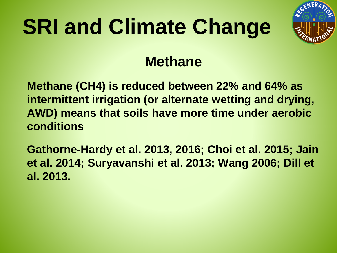

### **Methane**

**Methane (CH4) is reduced between 22% and 64% as intermittent irrigation (or alternate wetting and drying, AWD) means that soils have more time under aerobic conditions** 

**Gathorne-Hardy et al. 2013, 2016; Choi et al. 2015; Jain et al. 2014; Suryavanshi et al. 2013; Wang 2006; Dill et al. 2013.**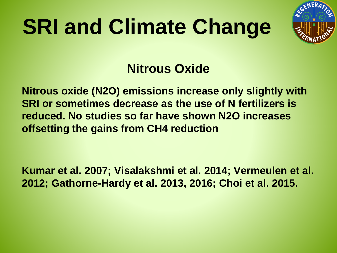

#### **Nitrous Oxide**

**Nitrous oxide (N2O) emissions increase only slightly with SRI or sometimes decrease as the use of N fertilizers is reduced. No studies so far have shown N2O increases offsetting the gains from CH4 reduction** 

**Kumar et al. 2007; Visalakshmi et al. 2014; Vermeulen et al. 2012; Gathorne-Hardy et al. 2013, 2016; Choi et al. 2015.**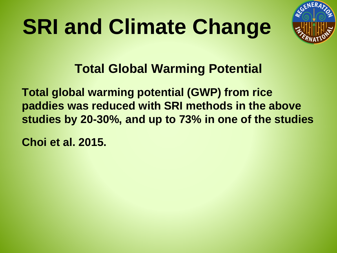

**Total Global Warming Potential**

**Total global warming potential (GWP) from rice paddies was reduced with SRI methods in the above studies by 20-30%, and up to 73% in one of the studies** 

**Choi et al. 2015.**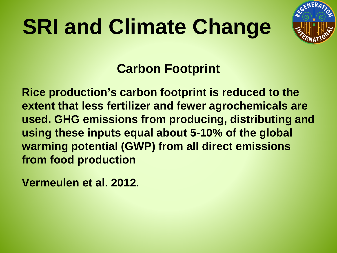

#### **Carbon Footprint**

**Rice production's carbon footprint is reduced to the extent that less fertilizer and fewer agrochemicals are used. GHG emissions from producing, distributing and using these inputs equal about 5-10% of the global warming potential (GWP) from all direct emissions from food production** 

**Vermeulen et al. 2012.**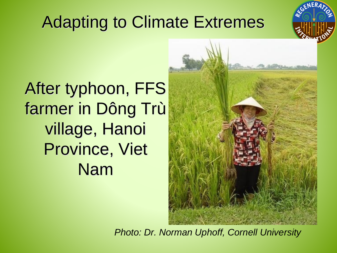### Adapting to Climate Extremes



After typhoon, FFS farmer in Dông Trù village, Hanoi Province, Viet Nam



*Photo: Dr. Norman Uphoff, Cornell University*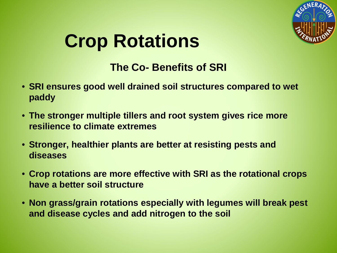

### **Crop Rotations**

#### **The Co- Benefits of SRI**

- **SRI ensures good well drained soil structures compared to wet paddy**
- **The stronger multiple tillers and root system gives rice more resilience to climate extremes**
- **Stronger, healthier plants are better at resisting pests and diseases**
- **Crop rotations are more effective with SRI as the rotational crops have a better soil structure**
- **Non grass/grain rotations especially with legumes will break pest and disease cycles and add nitrogen to the soil**